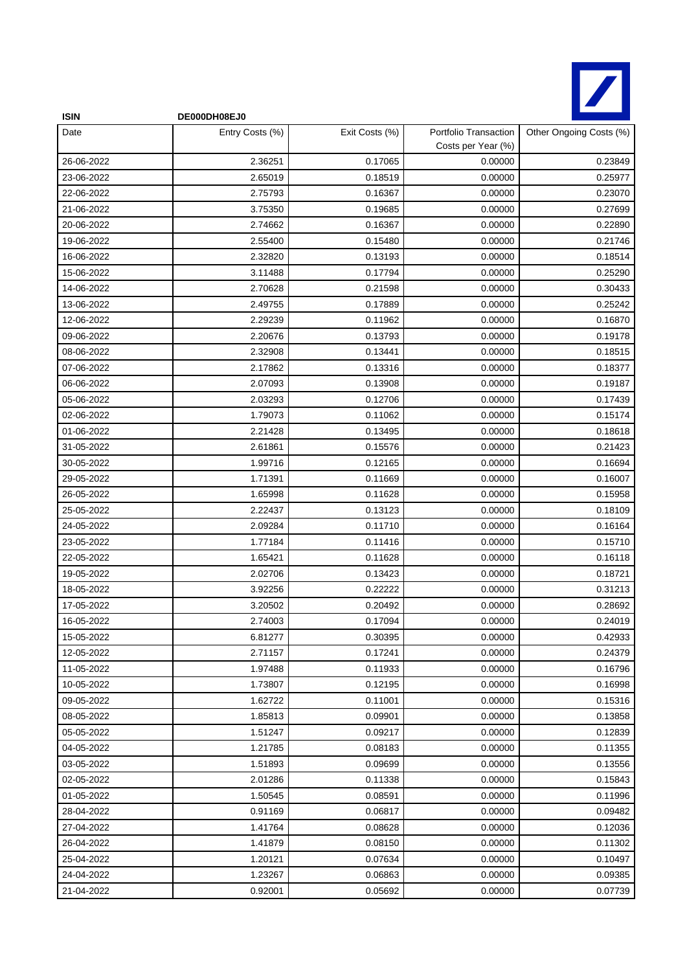

| <b>ISIN</b> | DE000DH08EJ0    |                |                                             |                         |
|-------------|-----------------|----------------|---------------------------------------------|-------------------------|
| Date        | Entry Costs (%) | Exit Costs (%) | Portfolio Transaction<br>Costs per Year (%) | Other Ongoing Costs (%) |
| 26-06-2022  | 2.36251         | 0.17065        | 0.00000                                     | 0.23849                 |
| 23-06-2022  | 2.65019         | 0.18519        | 0.00000                                     | 0.25977                 |
| 22-06-2022  | 2.75793         | 0.16367        | 0.00000                                     | 0.23070                 |
| 21-06-2022  | 3.75350         | 0.19685        | 0.00000                                     | 0.27699                 |
| 20-06-2022  | 2.74662         | 0.16367        | 0.00000                                     | 0.22890                 |
| 19-06-2022  | 2.55400         | 0.15480        | 0.00000                                     | 0.21746                 |
| 16-06-2022  | 2.32820         | 0.13193        | 0.00000                                     | 0.18514                 |
| 15-06-2022  | 3.11488         | 0.17794        | 0.00000                                     | 0.25290                 |
| 14-06-2022  | 2.70628         | 0.21598        | 0.00000                                     | 0.30433                 |
| 13-06-2022  | 2.49755         | 0.17889        | 0.00000                                     | 0.25242                 |
| 12-06-2022  | 2.29239         | 0.11962        | 0.00000                                     | 0.16870                 |
| 09-06-2022  | 2.20676         | 0.13793        | 0.00000                                     | 0.19178                 |
| 08-06-2022  | 2.32908         | 0.13441        | 0.00000                                     | 0.18515                 |
| 07-06-2022  | 2.17862         | 0.13316        | 0.00000                                     | 0.18377                 |
| 06-06-2022  | 2.07093         | 0.13908        | 0.00000                                     | 0.19187                 |
| 05-06-2022  | 2.03293         | 0.12706        | 0.00000                                     | 0.17439                 |
| 02-06-2022  | 1.79073         | 0.11062        | 0.00000                                     | 0.15174                 |
| 01-06-2022  | 2.21428         | 0.13495        | 0.00000                                     | 0.18618                 |
| 31-05-2022  | 2.61861         | 0.15576        | 0.00000                                     | 0.21423                 |
| 30-05-2022  | 1.99716         | 0.12165        | 0.00000                                     | 0.16694                 |
| 29-05-2022  | 1.71391         | 0.11669        | 0.00000                                     | 0.16007                 |
| 26-05-2022  | 1.65998         | 0.11628        | 0.00000                                     | 0.15958                 |
| 25-05-2022  | 2.22437         | 0.13123        | 0.00000                                     | 0.18109                 |
| 24-05-2022  | 2.09284         | 0.11710        | 0.00000                                     | 0.16164                 |
| 23-05-2022  | 1.77184         | 0.11416        | 0.00000                                     | 0.15710                 |
| 22-05-2022  | 1.65421         | 0.11628        | 0.00000                                     | 0.16118                 |
| 19-05-2022  | 2.02706         | 0.13423        | 0.00000                                     | 0.18721                 |
| 18-05-2022  | 3.92256         | 0.22222        | 0.00000                                     | 0.31213                 |
| 17-05-2022  | 3.20502         | 0.20492        | 0.00000                                     | 0.28692                 |
| 16-05-2022  | 2.74003         | 0.17094        | 0.00000                                     | 0.24019                 |
| 15-05-2022  | 6.81277         | 0.30395        | 0.00000                                     | 0.42933                 |
| 12-05-2022  | 2.71157         | 0.17241        | 0.00000                                     | 0.24379                 |
| 11-05-2022  | 1.97488         | 0.11933        | 0.00000                                     | 0.16796                 |
| 10-05-2022  | 1.73807         | 0.12195        | 0.00000                                     | 0.16998                 |
| 09-05-2022  | 1.62722         | 0.11001        | 0.00000                                     | 0.15316                 |
| 08-05-2022  | 1.85813         | 0.09901        | 0.00000                                     | 0.13858                 |
| 05-05-2022  | 1.51247         | 0.09217        | 0.00000                                     | 0.12839                 |
| 04-05-2022  | 1.21785         | 0.08183        | 0.00000                                     | 0.11355                 |
| 03-05-2022  | 1.51893         | 0.09699        | 0.00000                                     | 0.13556                 |
| 02-05-2022  | 2.01286         | 0.11338        | 0.00000                                     | 0.15843                 |
| 01-05-2022  | 1.50545         | 0.08591        | 0.00000                                     | 0.11996                 |
| 28-04-2022  | 0.91169         | 0.06817        | 0.00000                                     | 0.09482                 |
| 27-04-2022  | 1.41764         | 0.08628        | 0.00000                                     | 0.12036                 |
| 26-04-2022  | 1.41879         | 0.08150        | 0.00000                                     | 0.11302                 |
| 25-04-2022  | 1.20121         | 0.07634        | 0.00000                                     | 0.10497                 |
| 24-04-2022  | 1.23267         | 0.06863        | 0.00000                                     | 0.09385                 |
| 21-04-2022  | 0.92001         | 0.05692        | 0.00000                                     | 0.07739                 |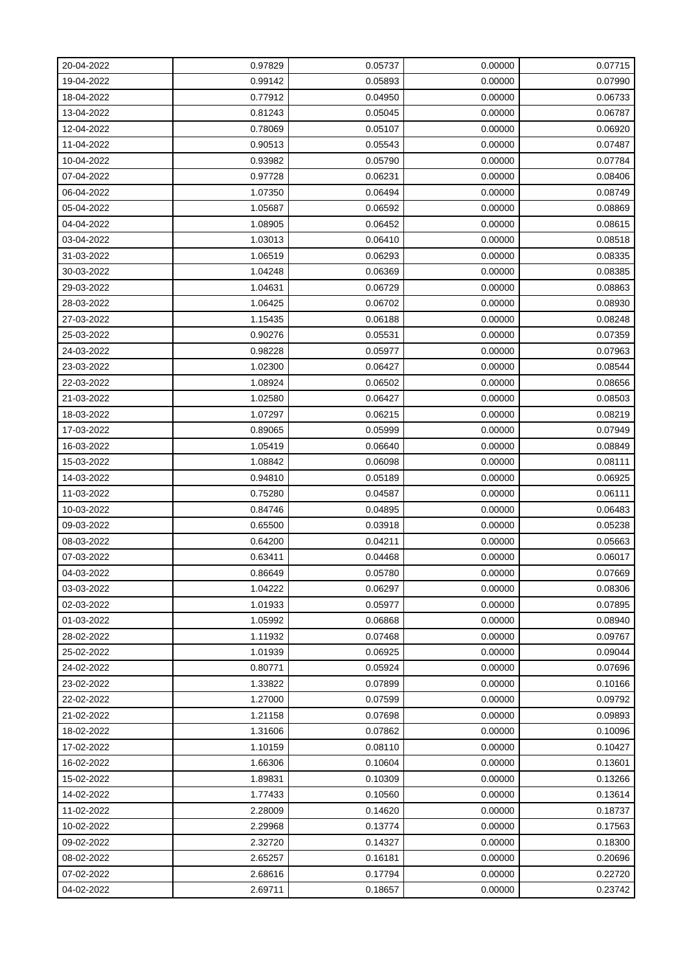| 20-04-2022 | 0.97829 | 0.05737 | 0.00000 | 0.07715 |
|------------|---------|---------|---------|---------|
| 19-04-2022 | 0.99142 | 0.05893 | 0.00000 | 0.07990 |
| 18-04-2022 | 0.77912 | 0.04950 | 0.00000 | 0.06733 |
| 13-04-2022 | 0.81243 | 0.05045 | 0.00000 | 0.06787 |
| 12-04-2022 | 0.78069 | 0.05107 | 0.00000 | 0.06920 |
| 11-04-2022 | 0.90513 | 0.05543 | 0.00000 | 0.07487 |
| 10-04-2022 | 0.93982 | 0.05790 | 0.00000 | 0.07784 |
| 07-04-2022 | 0.97728 | 0.06231 | 0.00000 | 0.08406 |
| 06-04-2022 | 1.07350 | 0.06494 | 0.00000 | 0.08749 |
| 05-04-2022 | 1.05687 | 0.06592 | 0.00000 | 0.08869 |
| 04-04-2022 | 1.08905 | 0.06452 | 0.00000 | 0.08615 |
| 03-04-2022 | 1.03013 | 0.06410 | 0.00000 | 0.08518 |
| 31-03-2022 | 1.06519 | 0.06293 | 0.00000 | 0.08335 |
| 30-03-2022 | 1.04248 | 0.06369 | 0.00000 | 0.08385 |
| 29-03-2022 | 1.04631 | 0.06729 | 0.00000 | 0.08863 |
| 28-03-2022 | 1.06425 | 0.06702 | 0.00000 | 0.08930 |
| 27-03-2022 | 1.15435 | 0.06188 | 0.00000 | 0.08248 |
| 25-03-2022 | 0.90276 | 0.05531 | 0.00000 | 0.07359 |
| 24-03-2022 | 0.98228 | 0.05977 | 0.00000 | 0.07963 |
| 23-03-2022 | 1.02300 | 0.06427 | 0.00000 | 0.08544 |
| 22-03-2022 | 1.08924 | 0.06502 | 0.00000 | 0.08656 |
| 21-03-2022 | 1.02580 | 0.06427 | 0.00000 | 0.08503 |
| 18-03-2022 | 1.07297 | 0.06215 | 0.00000 | 0.08219 |
| 17-03-2022 | 0.89065 | 0.05999 | 0.00000 | 0.07949 |
| 16-03-2022 | 1.05419 | 0.06640 | 0.00000 | 0.08849 |
| 15-03-2022 | 1.08842 | 0.06098 | 0.00000 | 0.08111 |
| 14-03-2022 | 0.94810 | 0.05189 | 0.00000 | 0.06925 |
| 11-03-2022 | 0.75280 | 0.04587 | 0.00000 | 0.06111 |
| 10-03-2022 | 0.84746 | 0.04895 | 0.00000 | 0.06483 |
| 09-03-2022 | 0.65500 | 0.03918 | 0.00000 | 0.05238 |
| 08-03-2022 | 0.64200 | 0.04211 | 0.00000 | 0.05663 |
| 07-03-2022 | 0.63411 | 0.04468 | 0.00000 | 0.06017 |
| 04-03-2022 | 0.86649 | 0.05780 | 0.00000 | 0.07669 |
| 03-03-2022 | 1.04222 | 0.06297 | 0.00000 | 0.08306 |
| 02-03-2022 | 1.01933 | 0.05977 | 0.00000 | 0.07895 |
| 01-03-2022 | 1.05992 | 0.06868 | 0.00000 | 0.08940 |
| 28-02-2022 | 1.11932 | 0.07468 | 0.00000 | 0.09767 |
| 25-02-2022 | 1.01939 | 0.06925 | 0.00000 | 0.09044 |
| 24-02-2022 | 0.80771 | 0.05924 | 0.00000 | 0.07696 |
| 23-02-2022 | 1.33822 | 0.07899 | 0.00000 | 0.10166 |
| 22-02-2022 | 1.27000 | 0.07599 | 0.00000 | 0.09792 |
| 21-02-2022 | 1.21158 | 0.07698 | 0.00000 | 0.09893 |
| 18-02-2022 | 1.31606 | 0.07862 | 0.00000 | 0.10096 |
| 17-02-2022 | 1.10159 | 0.08110 | 0.00000 | 0.10427 |
| 16-02-2022 | 1.66306 | 0.10604 | 0.00000 | 0.13601 |
| 15-02-2022 | 1.89831 | 0.10309 | 0.00000 | 0.13266 |
| 14-02-2022 | 1.77433 | 0.10560 | 0.00000 | 0.13614 |
| 11-02-2022 | 2.28009 | 0.14620 | 0.00000 | 0.18737 |
| 10-02-2022 | 2.29968 | 0.13774 | 0.00000 | 0.17563 |
| 09-02-2022 | 2.32720 | 0.14327 | 0.00000 | 0.18300 |
| 08-02-2022 | 2.65257 | 0.16181 | 0.00000 | 0.20696 |
| 07-02-2022 | 2.68616 | 0.17794 | 0.00000 | 0.22720 |
| 04-02-2022 | 2.69711 | 0.18657 | 0.00000 | 0.23742 |